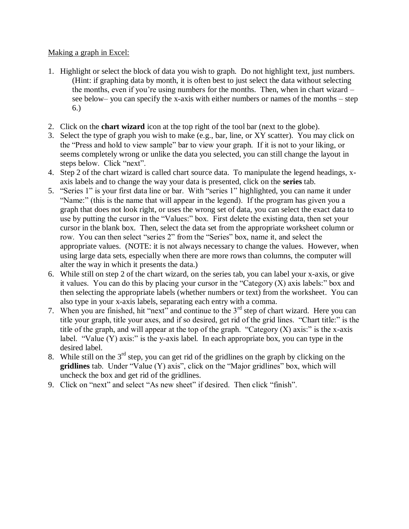## Making a graph in Excel:

- 1. Highlight or select the block of data you wish to graph. Do not highlight text, just numbers. (Hint: if graphing data by month, it is often best to just select the data without selecting the months, even if you're using numbers for the months. Then, when in chart wizard – see below– you can specify the x-axis with either numbers or names of the months – step 6.)
- 2. Click on the **chart wizard** icon at the top right of the tool bar (next to the globe).
- 3. Select the type of graph you wish to make (e.g., bar, line, or XY scatter). You may click on the "Press and hold to view sample" bar to view your graph. If it is not to your liking, or seems completely wrong or unlike the data you selected, you can still change the layout in steps below. Click "next".
- 4. Step 2 of the chart wizard is called chart source data. To manipulate the legend headings, xaxis labels and to change the way your data is presented, click on the **series** tab.
- 5. "Series 1" is your first data line or bar. With "series 1" highlighted, you can name it under "Name:" (this is the name that will appear in the legend). If the program has given you a graph that does not look right, or uses the wrong set of data, you can select the exact data to use by putting the cursor in the "Values:" box. First delete the existing data, then set your cursor in the blank box. Then, select the data set from the appropriate worksheet column or row. You can then select "series 2" from the "Series" box, name it, and select the appropriate values. (NOTE: it is not always necessary to change the values. However, when using large data sets, especially when there are more rows than columns, the computer will alter the way in which it presents the data.)
- 6. While still on step 2 of the chart wizard, on the series tab, you can label your x-axis, or give it values. You can do this by placing your cursor in the "Category  $(X)$  axis labels:" box and then selecting the appropriate labels (whether numbers or text) from the worksheet. You can also type in your x-axis labels, separating each entry with a comma.
- 7. When you are finished, hit "next" and continue to the  $3<sup>rd</sup>$  step of chart wizard. Here you can title your graph, title your axes, and if so desired, get rid of the grid lines. "Chart title:" is the title of the graph, and will appear at the top of the graph. "Category  $(X)$  axis:" is the x-axis label. "Value  $(Y)$  axis:" is the y-axis label. In each appropriate box, you can type in the desired label.
- 8. While still on the  $3<sup>rd</sup>$  step, you can get rid of the gridlines on the graph by clicking on the **gridlines** tab. Under "Value (Y) axis", click on the "Major gridlines" box, which will uncheck the box and get rid of the gridlines.
- 9. Click on "next" and select "As new sheet" if desired. Then click "finish".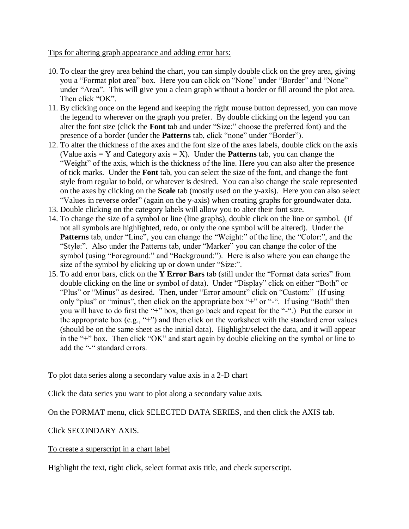Tips for altering graph appearance and adding error bars:

- 10. To clear the grey area behind the chart, you can simply double click on the grey area, giving you a "Format plot area" box. Here you can click on "None" under "Border" and "None" under "Area". This will give you a clean graph without a border or fill around the plot area. Then click "OK".
- 11. By clicking once on the legend and keeping the right mouse button depressed, you can move the legend to wherever on the graph you prefer. By double clicking on the legend you can alter the font size (click the **Font** tab and under "Size:" choose the preferred font) and the presence of a border (under the **Patterns** tab, click "none" under "Border").
- 12. To alter the thickness of the axes and the font size of the axes labels, double click on the axis (Value  $axis = Y$  and Category  $axis = X$ ). Under the **Patterns** tab, you can change the "Weight" of the axis, which is the thickness of the line. Here you can also alter the presence of tick marks. Under the **Font** tab, you can select the size of the font, and change the font style from regular to bold, or whatever is desired. You can also change the scale represented on the axes by clicking on the **Scale** tab (mostly used on the y-axis). Here you can also select "Values in reverse order" (again on the y-axis) when creating graphs for groundwater data.
- 13. Double clicking on the category labels will allow you to alter their font size.
- 14. To change the size of a symbol or line (line graphs), double click on the line or symbol. (If not all symbols are highlighted, redo, or only the one symbol will be altered). Under the Patterns tab, under "Line", you can change the "Weight:" of the line, the "Color:", and the "Style:". Also under the Patterns tab, under "Marker" you can change the color of the symbol (using "Foreground:" and "Background:"). Here is also where you can change the size of the symbol by clicking up or down under "Size:".
- 15. To add error bars, click on the **Y Error Bars** tab (still under the "Format data series" from double clicking on the line or symbol of data). Under "Display" click on either "Both" or "Plus" or "Minus" as desired. Then, under "Error amount" click on "Custom:" (If using only "plus" or "minus", then click on the appropriate box "+" or "-". If using "Both" then you will have to do first the "+" box, then go back and repeat for the "-".) Put the cursor in the appropriate box (e.g., "+") and then click on the worksheet with the standard error values (should be on the same sheet as the initial data). Highlight/select the data, and it will appear in the "+" box. Then click "OK" and start again by double clicking on the symbol or line to add the "-" standard errors.

## To plot data series along a secondary value axis in a 2-D chart

Click the data series you want to plot along a secondary value axis.

On the FORMAT menu, click SELECTED DATA SERIES, and then click the AXIS tab.

## Click SECONDARY AXIS.

## To create a superscript in a chart label

Highlight the text, right click, select format axis title, and check superscript.